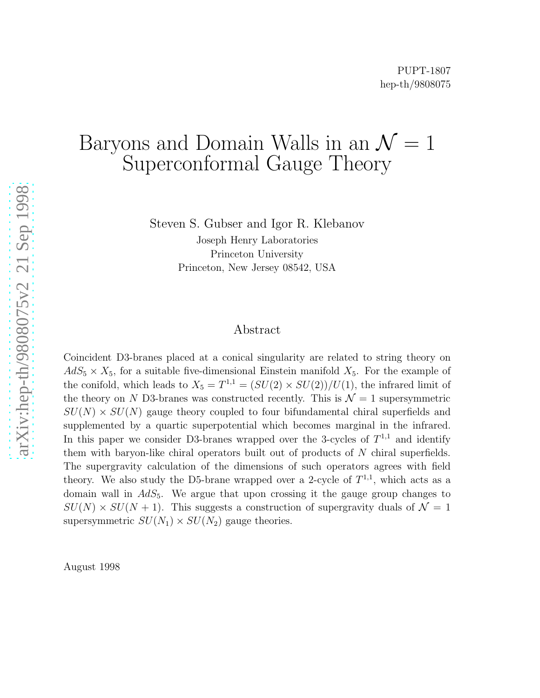# Baryons and Domain Walls in an  $\mathcal{N} = 1$ Superconformal Gauge Theory

Steven S. Gubser and Igor R. Klebanov

Joseph Henry Laboratories Princeton University Princeton, New Jersey 08542, USA

#### Abstract

Coincident D3-branes placed at a conical singularity are related to string theory on  $AdS_5 \times X_5$ , for a suitable five-dimensional Einstein manifold  $X_5$ . For the example of the conifold, which leads to  $X_5 = T^{1,1} = (SU(2) \times SU(2))/U(1)$ , the infrared limit of the theory on N D3-branes was constructed recently. This is  $\mathcal{N}=1$  supersymmetric  $SU(N) \times SU(N)$  gauge theory coupled to four bifundamental chiral superfields and supplemented by a quartic superpotential which becomes marginal in the infrared. In this paper we consider D3-branes wrapped over the 3-cycles of  $T^{1,1}$  and identify them with baryon-like chiral operators built out of products of N chiral superfields. The supergravity calculation of the dimensions of such operators agrees with field theory. We also study the D5-brane wrapped over a 2-cycle of  $T^{1,1}$ , which acts as a domain wall in  $AdS_5$ . We argue that upon crossing it the gauge group changes to  $SU(N) \times SU(N + 1)$ . This suggests a construction of supergravity duals of  $\mathcal{N} = 1$ supersymmetric  $SU(N_1) \times SU(N_2)$  gauge theories.

August 1998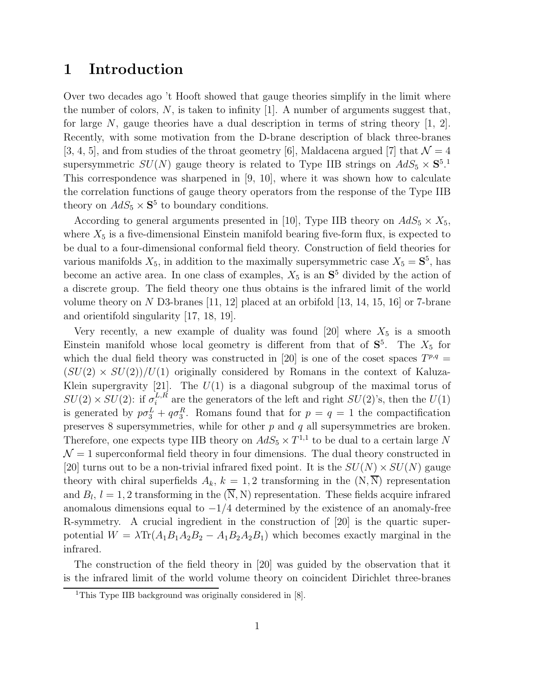## 1 Introduction

Over two decades ago 't Hooft showed that gauge theories simplify in the limit where the number of colors,  $N$ , is taken to infinity [1]. A number of arguments suggest that, for large N, gauge theories have a dual description in terms of string theory  $[1, 2]$ . Recently, with some motivation from the D-brane description of black three-branes [3, 4, 5], and from studies of the throat geometry [6], Maldacena argued [7] that  $\mathcal{N}=4$ supersymmetric  $SU(N)$  gauge theory is related to Type IIB strings on  $AdS_5 \times S^{5.1}$ This correspondence was sharpened in [9, 10], where it was shown how to calculate the correlation functions of gauge theory operators from the response of the Type IIB theory on  $AdS_5 \times S^5$  to boundary conditions.

According to general arguments presented in [10], Type IIB theory on  $AdS_5 \times X_5$ , where  $X_5$  is a five-dimensional Einstein manifold bearing five-form flux, is expected to be dual to a four-dimensional conformal field theory. Construction of field theories for various manifolds  $X_5$ , in addition to the maximally supersymmetric case  $X_5 = \mathbf{S}^5$ , has become an active area. In one class of examples,  $X_5$  is an  $S^5$  divided by the action of a discrete group. The field theory one thus obtains is the infrared limit of the world volume theory on N D3-branes  $[11, 12]$  placed at an orbifold  $[13, 14, 15, 16]$  or 7-brane and orientifold singularity [17, 18, 19].

Very recently, a new example of duality was found  $[20]$  where  $X_5$  is a smooth Einstein manifold whose local geometry is different from that of  $S^5$ . The  $X_5$  for which the dual field theory was constructed in [20] is one of the coset spaces  $T^{p,q} =$  $(SU(2) \times SU(2))/U(1)$  originally considered by Romans in the context of Kaluza-Klein supergravity [21]. The  $U(1)$  is a diagonal subgroup of the maximal torus of  $SU(2) \times SU(2)$ : if  $\sigma_i^{L,R}$  are the generators of the left and right  $SU(2)$ 's, then the  $U(1)$ is generated by  $p\sigma_3^L + q\sigma_3^R$ . Romans found that for  $p = q = 1$  the compactification preserves 8 supersymmetries, while for other  $p$  and  $q$  all supersymmetries are broken. Therefore, one expects type IIB theory on  $AdS_5 \times T^{1,1}$  to be dual to a certain large N  $\mathcal{N}=1$  superconformal field theory in four dimensions. The dual theory constructed in [20] turns out to be a non-trivial infrared fixed point. It is the  $SU(N) \times SU(N)$  gauge theory with chiral superfields  $A_k$ ,  $k = 1, 2$  transforming in the  $(N, \overline{N})$  representation and  $B_l$ ,  $l = 1, 2$  transforming in the  $(N, N)$  representation. These fields acquire infrared anomalous dimensions equal to  $-1/4$  determined by the existence of an anomaly-free R-symmetry. A crucial ingredient in the construction of [20] is the quartic superpotential  $W = \lambda Tr(A_1B_1A_2B_2 - A_1B_2A_2B_1)$  which becomes exactly marginal in the infrared.

The construction of the field theory in [20] was guided by the observation that it is the infrared limit of the world volume theory on coincident Dirichlet three-branes

<sup>&</sup>lt;sup>1</sup>This Type IIB background was originally considered in [8].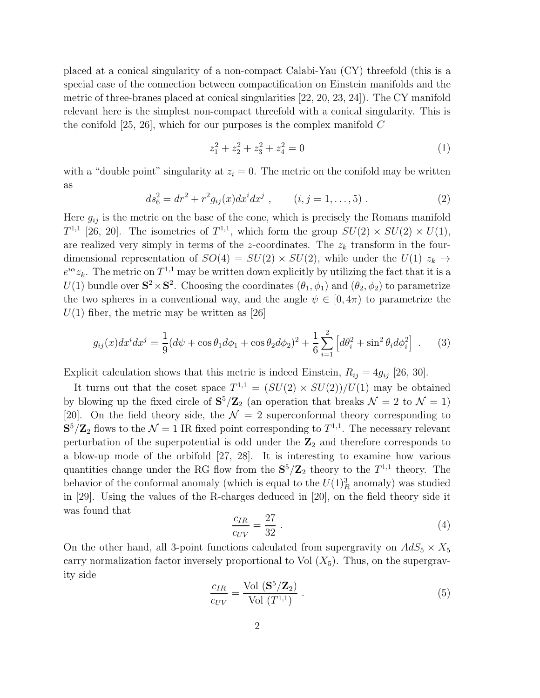placed at a conical singularity of a non-compact Calabi-Yau (CY) threefold (this is a special case of the connection between compactification on Einstein manifolds and the metric of three-branes placed at conical singularities [22, 20, 23, 24]). The CY manifold relevant here is the simplest non-compact threefold with a conical singularity. This is the conifold  $[25, 26]$ , which for our purposes is the complex manifold C

$$
z_1^2 + z_2^2 + z_3^2 + z_4^2 = 0 \tag{1}
$$

with a "double point" singularity at  $z<sub>i</sub> = 0$ . The metric on the conifold may be written as

$$
ds_6^2 = dr^2 + r^2 g_{ij}(x) dx^i dx^j , \qquad (i, j = 1, ..., 5) .
$$
 (2)

Here  $g_{ij}$  is the metric on the base of the cone, which is precisely the Romans manifold  $T^{1,1}$  [26, 20]. The isometries of  $T^{1,1}$ , which form the group  $SU(2) \times SU(2) \times U(1)$ , are realized very simply in terms of the z-coordinates. The  $z_k$  transform in the fourdimensional representation of  $SO(4) = SU(2) \times SU(2)$ , while under the  $U(1)$   $z_k \rightarrow$  $e^{i\alpha}z_k$ . The metric on  $T^{1,1}$  may be written down explicitly by utilizing the fact that it is a  $U(1)$  bundle over  $S^2 \times S^2$ . Choosing the coordinates  $(\theta_1, \phi_1)$  and  $(\theta_2, \phi_2)$  to parametrize the two spheres in a conventional way, and the angle  $\psi \in [0, 4\pi)$  to parametrize the  $U(1)$  fiber, the metric may be written as [26]

$$
g_{ij}(x)dx^{i}dx^{j} = \frac{1}{9}(d\psi + \cos\theta_{1}d\phi_{1} + \cos\theta_{2}d\phi_{2})^{2} + \frac{1}{6}\sum_{i=1}^{2} \left[d\theta_{i}^{2} + \sin^{2}\theta_{i}d\phi_{i}^{2}\right] \ . \tag{3}
$$

Explicit calculation shows that this metric is indeed Einstein,  $R_{ij} = 4g_{ij}$  [26, 30].

It turns out that the coset space  $T^{1,1} = (SU(2) \times SU(2))/U(1)$  may be obtained by blowing up the fixed circle of  $S^5/Z_2$  (an operation that breaks  $\mathcal{N} = 2$  to  $\mathcal{N} = 1$ ) [20]. On the field theory side, the  $\mathcal{N} = 2$  superconformal theory corresponding to  $S^5/Z_2$  flows to the  $\mathcal{N}=1$  IR fixed point corresponding to  $T^{1,1}$ . The necessary relevant perturbation of the superpotential is odd under the  $\mathbb{Z}_2$  and therefore corresponds to a blow-up mode of the orbifold [27, 28]. It is interesting to examine how various quantities change under the RG flow from the  $S^5/Z_2$  theory to the  $T^{1,1}$  theory. The behavior of the conformal anomaly (which is equal to the  $U(1)<sup>3</sup><sub>R</sub>$  anomaly) was studied in [29]. Using the values of the R-charges deduced in [20], on the field theory side it was found that

$$
\frac{c_{IR}}{c_{UV}} = \frac{27}{32} \tag{4}
$$

On the other hand, all 3-point functions calculated from supergravity on  $AdS_5 \times X_5$ carry normalization factor inversely proportional to Vol  $(X_5)$ . Thus, on the supergravity side

$$
\frac{c_{IR}}{c_{UV}} = \frac{\text{Vol}(\mathbf{S}^5/\mathbf{Z}_2)}{\text{Vol}(T^{1,1})} \,. \tag{5}
$$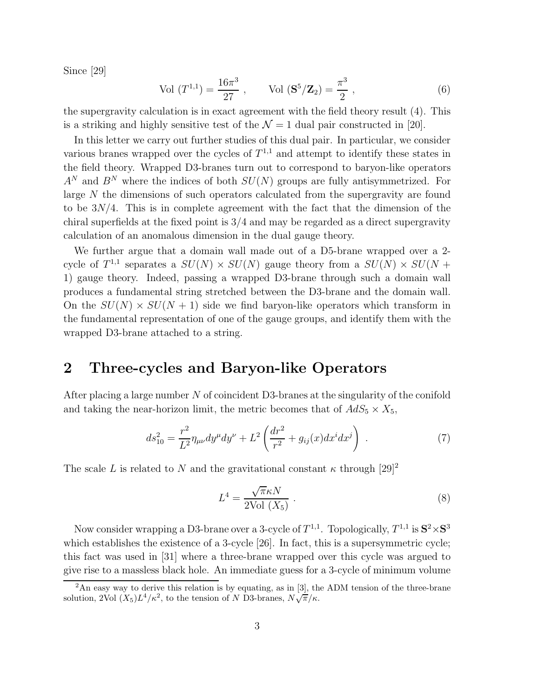Since [29]

Vol 
$$
(T^{1,1}) = \frac{16\pi^3}{27}
$$
, Vol  $(\mathbf{S}^5/\mathbf{Z}_2) = \frac{\pi^3}{2}$ , (6)

the supergravity calculation is in exact agreement with the field theory result (4). This is a striking and highly sensitive test of the  $\mathcal{N}=1$  dual pair constructed in [20].

In this letter we carry out further studies of this dual pair. In particular, we consider various branes wrapped over the cycles of  $T^{1,1}$  and attempt to identify these states in the field theory. Wrapped D3-branes turn out to correspond to baryon-like operators  $A<sup>N</sup>$  and  $B<sup>N</sup>$  where the indices of both  $SU(N)$  groups are fully antisymmetrized. For large N the dimensions of such operators calculated from the supergravity are found to be  $3N/4$ . This is in complete agreement with the fact that the dimension of the chiral superfields at the fixed point is 3/4 and may be regarded as a direct supergravity calculation of an anomalous dimension in the dual gauge theory.

We further argue that a domain wall made out of a D5-brane wrapped over a 2 cycle of  $T^{1,1}$  separates a  $SU(N) \times SU(N)$  gauge theory from a  $SU(N) \times SU(N + 1)$ 1) gauge theory. Indeed, passing a wrapped D3-brane through such a domain wall produces a fundamental string stretched between the D3-brane and the domain wall. On the  $SU(N) \times SU(N + 1)$  side we find baryon-like operators which transform in the fundamental representation of one of the gauge groups, and identify them with the wrapped D3-brane attached to a string.

#### 2 Three-cycles and Baryon-like Operators

After placing a large number N of coincident D3-branes at the singularity of the conifold and taking the near-horizon limit, the metric becomes that of  $AdS_5 \times X_5$ ,

$$
ds_{10}^2 = \frac{r^2}{L^2} \eta_{\mu\nu} dy^{\mu} dy^{\nu} + L^2 \left(\frac{dr^2}{r^2} + g_{ij}(x) dx^i dx^j\right) \tag{7}
$$

The scale L is related to N and the gravitational constant  $\kappa$  through  $[29]^2$ 

$$
L^4 = \frac{\sqrt{\pi} \kappa N}{2 \text{Vol } (X_5)} \tag{8}
$$

Now consider wrapping a D3-brane over a 3-cycle of  $T^{1,1}$ . Topologically,  $T^{1,1}$  is  $S^2 \times S^3$ which establishes the existence of a 3-cycle [26]. In fact, this is a supersymmetric cycle; this fact was used in [31] where a three-brane wrapped over this cycle was argued to give rise to a massless black hole. An immediate guess for a 3-cycle of minimum volume

<sup>&</sup>lt;sup>2</sup>An easy way to derive this relation is by equating, as in [3], the ADM tension of the three-brane solution, 2Vol  $(X_5)L^4/\kappa^2$ , to the tension of N D3-branes,  $N\sqrt{\pi}/\kappa$ .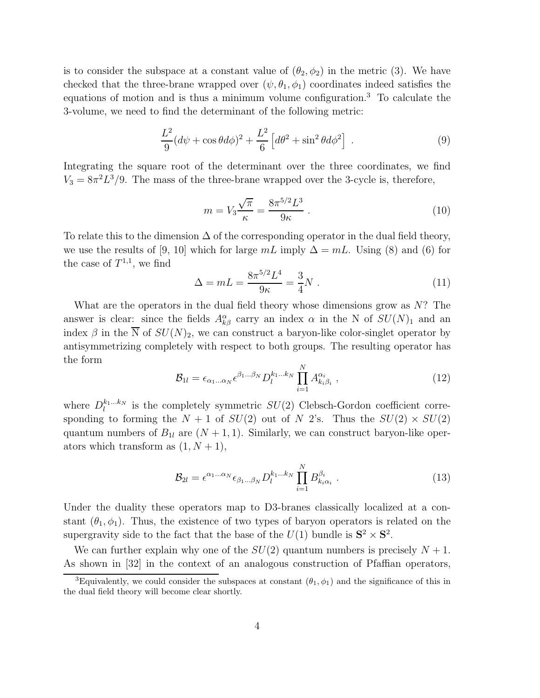is to consider the subspace at a constant value of  $(\theta_2, \phi_2)$  in the metric (3). We have checked that the three-brane wrapped over  $(\psi, \theta_1, \phi_1)$  coordinates indeed satisfies the equations of motion and is thus a minimum volume configuration.<sup>3</sup> To calculate the 3-volume, we need to find the determinant of the following metric:

$$
\frac{L^2}{9}(d\psi + \cos\theta d\phi)^2 + \frac{L^2}{6}\left[d\theta^2 + \sin^2\theta d\phi^2\right] \ . \tag{9}
$$

Integrating the square root of the determinant over the three coordinates, we find  $V_3 = 8\pi^2 L^3/9$ . The mass of the three-brane wrapped over the 3-cycle is, therefore,

$$
m = V_3 \frac{\sqrt{\pi}}{\kappa} = \frac{8\pi^{5/2} L^3}{9\kappa} \tag{10}
$$

To relate this to the dimension  $\Delta$  of the corresponding operator in the dual field theory, we use the results of [9, 10] which for large  $mL$  imply  $\Delta = mL$ . Using (8) and (6) for the case of  $T^{1,1}$ , we find

$$
\Delta = mL = \frac{8\pi^{5/2}L^4}{9\kappa} = \frac{3}{4}N \tag{11}
$$

What are the operators in the dual field theory whose dimensions grow as  $N$ ? The answer is clear: since the fields  $A_{k\beta}^{\alpha}$  carry an index  $\alpha$  in the N of  $SU(N)_1$  and an index  $\beta$  in the  $\overline{N}$  of  $SU(N)_2$ , we can construct a baryon-like color-singlet operator by antisymmetrizing completely with respect to both groups. The resulting operator has the form

$$
\mathcal{B}_{1l} = \epsilon_{\alpha_1...\alpha_N} \epsilon^{\beta_1...\beta_N} D_l^{k_1...k_N} \prod_{i=1}^N A_{k_i\beta_i}^{\alpha_i} , \qquad (12)
$$

where  $D_l^{k_1...k_N}$  $\binom{k_1...k_N}{l}$  is the completely symmetric  $SU(2)$  Clebsch-Gordon coefficient corresponding to forming the  $N + 1$  of  $SU(2)$  out of N 2's. Thus the  $SU(2) \times SU(2)$ quantum numbers of  $B_{1l}$  are  $(N + 1, 1)$ . Similarly, we can construct baryon-like operators which transform as  $(1, N + 1)$ ,

$$
\mathcal{B}_{2l} = \epsilon^{\alpha_1 \dots \alpha_N} \epsilon_{\beta_1 \dots \beta_N} D_l^{k_1 \dots k_N} \prod_{i=1}^N B_{k_i \alpha_i}^{\beta_i} \tag{13}
$$

Under the duality these operators map to D3-branes classically localized at a constant  $(\theta_1, \phi_1)$ . Thus, the existence of two types of baryon operators is related on the supergravity side to the fact that the base of the  $U(1)$  bundle is  $S^2 \times S^2$ .

We can further explain why one of the  $SU(2)$  quantum numbers is precisely  $N + 1$ . As shown in [32] in the context of an analogous construction of Pfaffian operators,

<sup>&</sup>lt;sup>3</sup>Equivalently, we could consider the subspaces at constant  $(\theta_1, \phi_1)$  and the significance of this in the dual field theory will become clear shortly.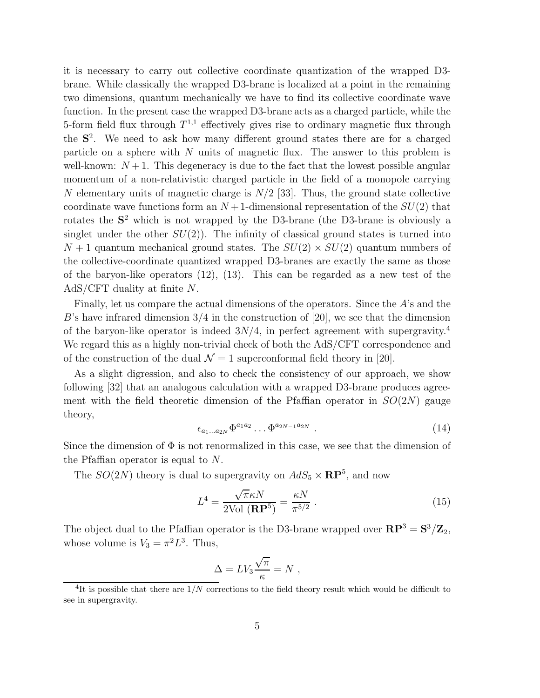it is necessary to carry out collective coordinate quantization of the wrapped D3 brane. While classically the wrapped D3-brane is localized at a point in the remaining two dimensions, quantum mechanically we have to find its collective coordinate wave function. In the present case the wrapped D3-brane acts as a charged particle, while the 5-form field flux through  $T^{1,1}$  effectively gives rise to ordinary magnetic flux through the  $S<sup>2</sup>$ . We need to ask how many different ground states there are for a charged particle on a sphere with N units of magnetic flux. The answer to this problem is well-known:  $N+1$ . This degeneracy is due to the fact that the lowest possible angular momentum of a non-relativistic charged particle in the field of a monopole carrying N elementary units of magnetic charge is  $N/2$  [33]. Thus, the ground state collective coordinate wave functions form an  $N+1$ -dimensional representation of the  $SU(2)$  that rotates the S <sup>2</sup> which is not wrapped by the D3-brane (the D3-brane is obviously a singlet under the other  $SU(2)$ . The infinity of classical ground states is turned into  $N+1$  quantum mechanical ground states. The  $SU(2) \times SU(2)$  quantum numbers of the collective-coordinate quantized wrapped D3-branes are exactly the same as those of the baryon-like operators (12), (13). This can be regarded as a new test of the AdS/CFT duality at finite N.

Finally, let us compare the actual dimensions of the operators. Since the A's and the B's have infrared dimension  $3/4$  in the construction of [20], we see that the dimension of the baryon-like operator is indeed  $3N/4$ , in perfect agreement with supergravity.<sup>4</sup> We regard this as a highly non-trivial check of both the AdS/CFT correspondence and of the construction of the dual  $\mathcal{N} = 1$  superconformal field theory in [20].

As a slight digression, and also to check the consistency of our approach, we show following [32] that an analogous calculation with a wrapped D3-brane produces agreement with the field theoretic dimension of the Pfaffian operator in  $SO(2N)$  gauge theory,

$$
\epsilon_{a_1...a_{2N}} \Phi^{a_1 a_2} \dots \Phi^{a_{2N-1} a_{2N}} \tag{14}
$$

Since the dimension of  $\Phi$  is not renormalized in this case, we see that the dimension of the Pfaffian operator is equal to N.

The  $SO(2N)$  theory is dual to supergravity on  $AdS_5 \times \mathbf{RP}^5$ , and now

$$
L^4 = \frac{\sqrt{\pi} \kappa N}{2 \text{Vol }(\mathbf{RP}^5)} = \frac{\kappa N}{\pi^{5/2}}.
$$
 (15)

The object dual to the Pfaffian operator is the D3-brane wrapped over  $\mathbb{RP}^3 = \mathbb{S}^3/\mathbb{Z}_2$ , whose volume is  $V_3 = \pi^2 L^3$ . Thus,

$$
\Delta = LV_3 \frac{\sqrt{\pi}}{\kappa} = N \ ,
$$

<sup>&</sup>lt;sup>4</sup>It is possible that there are  $1/N$  corrections to the field theory result which would be difficult to see in supergravity.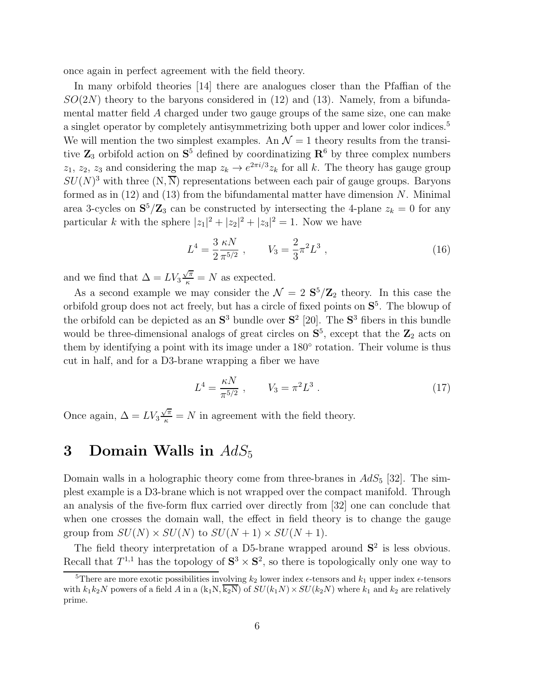once again in perfect agreement with the field theory.

In many orbifold theories [14] there are analogues closer than the Pfaffian of the  $SO(2N)$  theory to the baryons considered in (12) and (13). Namely, from a bifundamental matter field A charged under two gauge groups of the same size, one can make a singlet operator by completely antisymmetrizing both upper and lower color indices.<sup>5</sup> We will mention the two simplest examples. An  $\mathcal{N}=1$  theory results from the transitive  $\mathbb{Z}_3$  orbifold action on  $S^5$  defined by coordinatizing  $R^6$  by three complex numbers  $z_1, z_2, z_3$  and considering the map  $z_k \to e^{2\pi i/3} z_k$  for all k. The theory has gauge group  $SU(N)^3$  with three  $(N, \overline{N})$  representations between each pair of gauge groups. Baryons formed as in  $(12)$  and  $(13)$  from the bifundamental matter have dimension N. Minimal area 3-cycles on  $S^5/Z_3$  can be constructed by intersecting the 4-plane  $z_k = 0$  for any particular k with the sphere  $|z_1|^2 + |z_2|^2 + |z_3|^2 = 1$ . Now we have

$$
L^4 = \frac{3 \kappa N}{2 \pi^{5/2}}, \qquad V_3 = \frac{2}{3} \pi^2 L^3 , \qquad (16)
$$

and we find that  $\Delta = LV_3 \frac{\sqrt{\pi}}{\kappa} = N$  as expected.

As a second example we may consider the  $\mathcal{N} = 2 \mathbf{S}^5 / \mathbf{Z}_2$  theory. In this case the orbifold group does not act freely, but has a circle of fixed points on  $S<sup>5</sup>$ . The blowup of the orbifold can be depicted as an  $S^3$  bundle over  $S^2$  [20]. The  $S^3$  fibers in this bundle would be three-dimensional analogs of great circles on  $S^5$ , except that the  $\mathbb{Z}_2$  acts on them by identifying a point with its image under a 180◦ rotation. Their volume is thus cut in half, and for a D3-brane wrapping a fiber we have

$$
L^4 = \frac{\kappa N}{\pi^{5/2}} \;, \qquad V_3 = \pi^2 L^3 \; . \tag{17}
$$

Once again,  $\Delta = LV_3 \frac{\sqrt{\pi}}{\kappa} = N$  in agreement with the field theory.

# 3 Domain Walls in  $AdS_5$

Domain walls in a holographic theory come from three-branes in  $AdS_5$  [32]. The simplest example is a D3-brane which is not wrapped over the compact manifold. Through an analysis of the five-form flux carried over directly from [32] one can conclude that when one crosses the domain wall, the effect in field theory is to change the gauge group from  $SU(N) \times SU(N)$  to  $SU(N+1) \times SU(N+1)$ .

The field theory interpretation of a D5-brane wrapped around  $S<sup>2</sup>$  is less obvious. Recall that  $T^{1,1}$  has the topology of  $S^3 \times S^2$ , so there is topologically only one way to

<sup>&</sup>lt;sup>5</sup>There are more exotic possibilities involving  $k_2$  lower index  $\epsilon$ -tensors and  $k_1$  upper index  $\epsilon$ -tensors with  $k_1k_2N$  powers of a field A in a  $(k_1N, \overline{k_2N})$  of  $SU(k_1N) \times SU(k_2N)$  where  $k_1$  and  $k_2$  are relatively prime.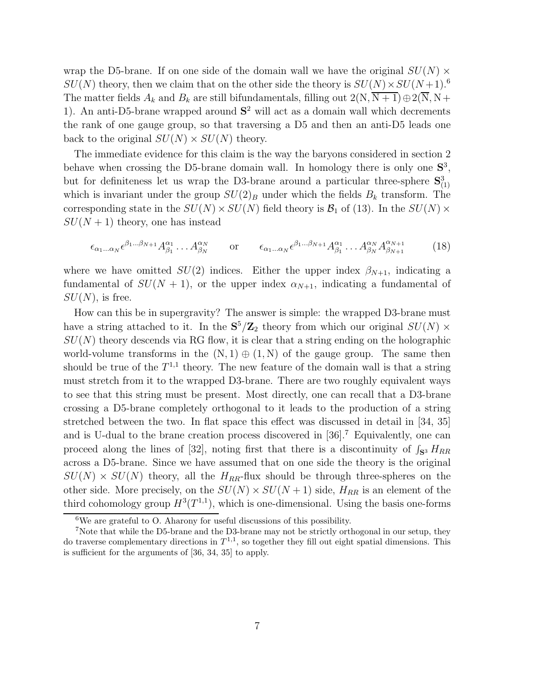wrap the D5-brane. If on one side of the domain wall we have the original  $SU(N)$  ×  $SU(N)$  theory, then we claim that on the other side the theory is  $SU(N) \times SU(N+1)$ .<sup>6</sup> The matter fields  $A_k$  and  $B_k$  are still bifundamentals, filling out  $2(N, \overline{N+1}) \oplus 2(\overline{N}, N+1)$ 1). An anti-D5-brane wrapped around  $S<sup>2</sup>$  will act as a domain wall which decrements the rank of one gauge group, so that traversing a D5 and then an anti-D5 leads one back to the original  $SU(N) \times SU(N)$  theory.

The immediate evidence for this claim is the way the baryons considered in section 2 behave when crossing the D5-brane domain wall. In homology there is only one  $S^3$ , but for definiteness let us wrap the D3-brane around a particular three-sphere  $S^3_{(1)}$ which is invariant under the group  $SU(2)_B$  under which the fields  $B_k$  transform. The corresponding state in the  $SU(N) \times SU(N)$  field theory is  $\mathcal{B}_1$  of (13). In the  $SU(N) \times$  $SU(N+1)$  theory, one has instead

$$
\epsilon_{\alpha_1...\alpha_N} \epsilon^{\beta_1...\beta_{N+1}} A^{\alpha_1}_{\beta_1} \dots A^{\alpha_N}_{\beta_N} \qquad \text{or} \qquad \epsilon_{\alpha_1...\alpha_N} \epsilon^{\beta_1...\beta_{N+1}} A^{\alpha_1}_{\beta_1} \dots A^{\alpha_N}_{\beta_N} A^{\alpha_{N+1}}_{\beta_{N+1}} \qquad (18)
$$

where we have omitted  $SU(2)$  indices. Either the upper index  $\beta_{N+1}$ , indicating a fundamental of  $SU(N + 1)$ , or the upper index  $\alpha_{N+1}$ , indicating a fundamental of  $SU(N)$ , is free.

How can this be in supergravity? The answer is simple: the wrapped D3-brane must have a string attached to it. In the  $S^5/Z_2$  theory from which our original  $SU(N)$  ×  $SU(N)$  theory descends via RG flow, it is clear that a string ending on the holographic world-volume transforms in the  $(N, 1) \oplus (1, N)$  of the gauge group. The same then should be true of the  $T^{1,1}$  theory. The new feature of the domain wall is that a string must stretch from it to the wrapped D3-brane. There are two roughly equivalent ways to see that this string must be present. Most directly, one can recall that a D3-brane crossing a D5-brane completely orthogonal to it leads to the production of a string stretched between the two. In flat space this effect was discussed in detail in [34, 35] and is U-dual to the brane creation process discovered in [36].<sup>7</sup> Equivalently, one can proceed along the lines of [32], noting first that there is a discontinuity of  $\int_{\mathbf{S}^3} H_{RR}$ across a D5-brane. Since we have assumed that on one side the theory is the original  $SU(N) \times SU(N)$  theory, all the  $H_{RR}$ -flux should be through three-spheres on the other side. More precisely, on the  $SU(N) \times SU(N+1)$  side,  $H_{RR}$  is an element of the third cohomology group  $H^3(T^{1,1})$ , which is one-dimensional. Using the basis one-forms

 $6$ We are grateful to O. Aharony for useful discussions of this possibility.

<sup>7</sup>Note that while the D5-brane and the D3-brane may not be strictly orthogonal in our setup, they do traverse complementary directions in  $T^{1,1}$ , so together they fill out eight spatial dimensions. This is sufficient for the arguments of [36, 34, 35] to apply.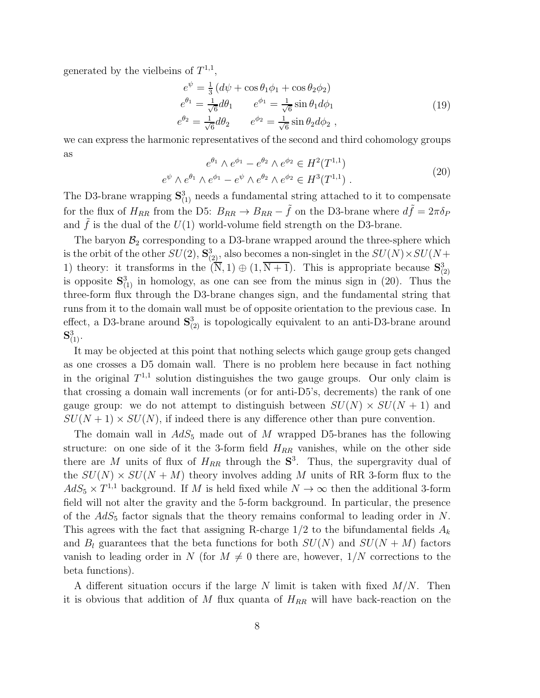generated by the vielbeins of  $T^{1,1}$ ,

$$
e^{\psi} = \frac{1}{3} (d\psi + \cos \theta_1 \phi_1 + \cos \theta_2 \phi_2)
$$
  
\n
$$
e^{\theta_1} = \frac{1}{\sqrt{6}} d\theta_1 \qquad e^{\phi_1} = \frac{1}{\sqrt{6}} \sin \theta_1 d\phi_1
$$
  
\n
$$
e^{\theta_2} = \frac{1}{\sqrt{6}} d\theta_2 \qquad e^{\phi_2} = \frac{1}{\sqrt{6}} \sin \theta_2 d\phi_2 ,
$$
\n(19)

we can express the harmonic representatives of the second and third cohomology groups as

$$
e^{\theta_1} \wedge e^{\phi_1} - e^{\theta_2} \wedge e^{\phi_2} \in H^2(T^{1,1})
$$
  
\n
$$
e^{\psi} \wedge e^{\theta_1} \wedge e^{\phi_1} - e^{\psi} \wedge e^{\theta_2} \wedge e^{\phi_2} \in H^3(T^{1,1})
$$
\n(20)

The D3-brane wrapping  $S^3_{(1)}$  needs a fundamental string attached to it to compensate for the flux of  $H_{RR}$  from the D5:  $B_{RR} \to B_{RR} - \tilde{f}$  on the D3-brane where  $d\tilde{f} = 2\pi\delta_F$ and  $\tilde{f}$  is the dual of the  $U(1)$  world-volume field strength on the D3-brane.

The baryon  $\mathcal{B}_2$  corresponding to a D3-brane wrapped around the three-sphere which is the orbit of the other  $SU(2)$ ,  $S^3_{(2)}$ , also becomes a non-singlet in the  $SU(N) \times SU(N+1)$ 1) theory: it transforms in the  $(\overline{N}, 1) \oplus (1, \overline{N+1})$ . This is appropriate because  $S^3_{(2)}$ is opposite  $S^3_{(1)}$  in homology, as one can see from the minus sign in (20). Thus the three-form flux through the D3-brane changes sign, and the fundamental string that runs from it to the domain wall must be of opposite orientation to the previous case. In effect, a D3-brane around  $S^3_{(2)}$  is topologically equivalent to an anti-D3-brane around  $\mathbf{S}^3_{(1)}.$ 

It may be objected at this point that nothing selects which gauge group gets changed as one crosses a D5 domain wall. There is no problem here because in fact nothing in the original  $T^{1,1}$  solution distinguishes the two gauge groups. Our only claim is that crossing a domain wall increments (or for anti-D5's, decrements) the rank of one gauge group: we do not attempt to distinguish between  $SU(N) \times SU(N + 1)$  and  $SU(N+1) \times SU(N)$ , if indeed there is any difference other than pure convention.

The domain wall in  $AdS_5$  made out of M wrapped D5-branes has the following structure: on one side of it the 3-form field  $H_{RR}$  vanishes, while on the other side there are M units of flux of  $H_{RR}$  through the  $S^3$ . Thus, the supergravity dual of the  $SU(N) \times SU(N+M)$  theory involves adding M units of RR 3-form flux to the  $AdS_5 \times T^{1,1}$  background. If M is held fixed while  $N \to \infty$  then the additional 3-form field will not alter the gravity and the 5-form background. In particular, the presence of the  $AdS_5$  factor signals that the theory remains conformal to leading order in N. This agrees with the fact that assigning R-charge  $1/2$  to the bifundamental fields  $A_k$ and  $B_l$  guarantees that the beta functions for both  $SU(N)$  and  $SU(N + M)$  factors vanish to leading order in N (for  $M \neq 0$  there are, however,  $1/N$  corrections to the beta functions).

A different situation occurs if the large N limit is taken with fixed  $M/N$ . Then it is obvious that addition of M flux quanta of  $H_{RR}$  will have back-reaction on the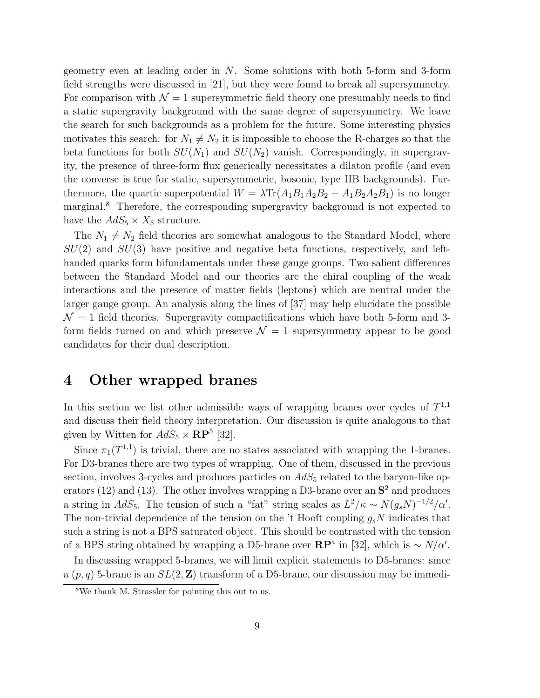geometry even at leading order in N. Some solutions with both 5-form and 3-form field strengths were discussed in [21], but they were found to break all supersymmetry. For comparison with  $\mathcal{N} = 1$  supersymmetric field theory one presumably needs to find a static supergravity background with the same degree of supersymmetry. We leave the search for such backgrounds as a problem for the future. Some interesting physics motivates this search: for  $N_1 \neq N_2$  it is impossible to choose the R-charges so that the beta functions for both  $SU(N_1)$  and  $SU(N_2)$  vanish. Correspondingly, in supergravity, the presence of three-form flux generically necessitates a dilaton profile (and even the converse is true for static, supersymmetric, bosonic, type IIB backgrounds). Furthermore, the quartic superpotential  $W = \lambda \text{Tr}(A_1B_1A_2B_2 - A_1B_2A_2B_1)$  is no longer marginal.<sup>8</sup> Therefore, the corresponding supergravity background is not expected to have the  $AdS_5 \times X_5$  structure.

The  $N_1 \neq N_2$  field theories are somewhat analogous to the Standard Model, where  $SU(2)$  and  $SU(3)$  have positive and negative beta functions, respectively, and lefthanded quarks form bifundamentals under these gauge groups. Two salient differences between the Standard Model and our theories are the chiral coupling of the weak interactions and the presence of matter fields (leptons) which are neutral under the larger gauge group. An analysis along the lines of [37] may help elucidate the possible  $\mathcal{N}=1$  field theories. Supergravity compactifications which have both 5-form and 3form fields turned on and which preserve  $\mathcal{N} = 1$  supersymmetry appear to be good candidates for their dual description.

# 4 Other wrapped branes

In this section we list other admissible ways of wrapping branes over cycles of  $T^{1,1}$ and discuss their field theory interpretation. Our discussion is quite analogous to that given by Witten for  $AdS_5 \times \mathbf{RP}^5$  [32].

Since  $\pi_1(T^{1,1})$  is trivial, there are no states associated with wrapping the 1-branes. For D3-branes there are two types of wrapping. One of them, discussed in the previous section, involves 3-cycles and produces particles on  $AdS_5$  related to the baryon-like operators (12) and (13). The other involves wrapping a D3-brane over an  $S<sup>2</sup>$  and produces a string in  $AdS_5$ . The tension of such a "fat" string scales as  $L^2/\kappa \sim N(g_s N)^{-1/2}/\alpha'$ . The non-trivial dependence of the tension on the 't Hooft coupling  $g_sN$  indicates that such a string is not a BPS saturated object. This should be contrasted with the tension of a BPS string obtained by wrapping a D5-brane over  $\mathbb{RP}^4$  in [32], which is ~  $N/\alpha'$ .

In discussing wrapped 5-branes, we will limit explicit statements to D5-branes: since a  $(p, q)$  5-brane is an  $SL(2, \mathbb{Z})$  transform of a D5-brane, our discussion may be immedi-

<sup>8</sup>We thank M. Strassler for pointing this out to us.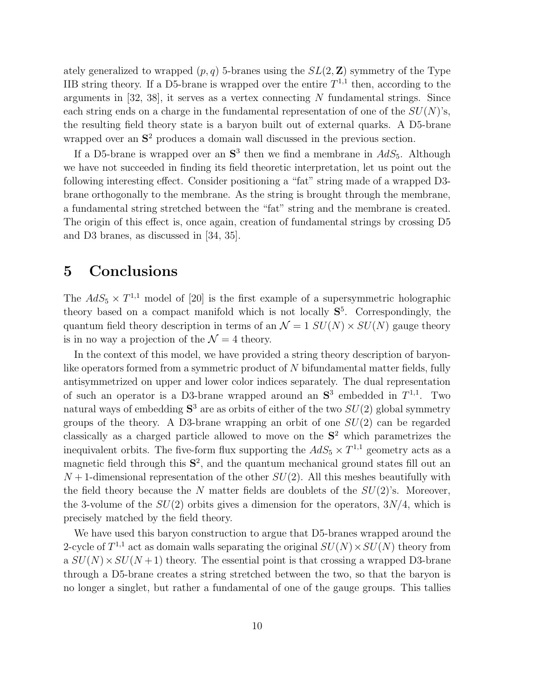ately generalized to wrapped  $(p, q)$  5-branes using the  $SL(2, \mathbb{Z})$  symmetry of the Type IIB string theory. If a D5-brane is wrapped over the entire  $T^{1,1}$  then, according to the arguments in  $[32, 38]$ , it serves as a vertex connecting N fundamental strings. Since each string ends on a charge in the fundamental representation of one of the  $SU(N)$ 's, the resulting field theory state is a baryon built out of external quarks. A D5-brane wrapped over an  $S<sup>2</sup>$  produces a domain wall discussed in the previous section.

If a D5-brane is wrapped over an  $S^3$  then we find a membrane in  $AdS_5$ . Although we have not succeeded in finding its field theoretic interpretation, let us point out the following interesting effect. Consider positioning a "fat" string made of a wrapped D3 brane orthogonally to the membrane. As the string is brought through the membrane, a fundamental string stretched between the "fat" string and the membrane is created. The origin of this effect is, once again, creation of fundamental strings by crossing D5 and D3 branes, as discussed in [34, 35].

#### 5 Conclusions

The  $AdS_5 \times T^{1,1}$  model of [20] is the first example of a supersymmetric holographic theory based on a compact manifold which is not locally  $S<sup>5</sup>$ . Correspondingly, the quantum field theory description in terms of an  $\mathcal{N} = 1$   $SU(N) \times SU(N)$  gauge theory is in no way a projection of the  $\mathcal{N}=4$  theory.

In the context of this model, we have provided a string theory description of baryonlike operators formed from a symmetric product of N bifundamental matter fields, fully antisymmetrized on upper and lower color indices separately. The dual representation of such an operator is a D3-brane wrapped around an  $S^3$  embedded in  $T^{1,1}$ . Two natural ways of embedding  $S^3$  are as orbits of either of the two  $SU(2)$  global symmetry groups of the theory. A D3-brane wrapping an orbit of one  $SU(2)$  can be regarded classically as a charged particle allowed to move on the  $S<sup>2</sup>$  which parametrizes the inequivalent orbits. The five-form flux supporting the  $AdS_5 \times T^{1,1}$  geometry acts as a magnetic field through this  $S^2$ , and the quantum mechanical ground states fill out an  $N+1$ -dimensional representation of the other  $SU(2)$ . All this meshes beautifully with the field theory because the N matter fields are doublets of the  $SU(2)$ 's. Moreover, the 3-volume of the  $SU(2)$  orbits gives a dimension for the operators,  $3N/4$ , which is precisely matched by the field theory.

We have used this baryon construction to argue that D5-branes wrapped around the 2-cycle of  $T^{1,1}$  act as domain walls separating the original  $SU(N) \times SU(N)$  theory from a  $SU(N) \times SU(N+1)$  theory. The essential point is that crossing a wrapped D3-brane through a D5-brane creates a string stretched between the two, so that the baryon is no longer a singlet, but rather a fundamental of one of the gauge groups. This tallies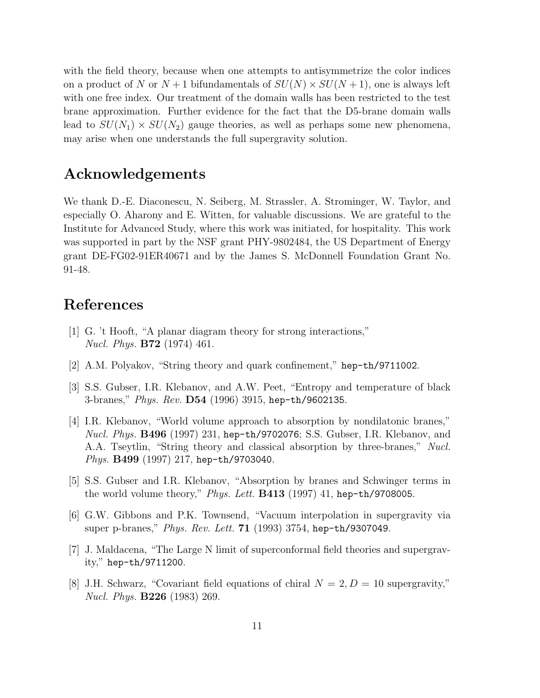with the field theory, because when one attempts to antisymmetrize the color indices on a product of N or  $N+1$  bifundamentals of  $SU(N) \times SU(N+1)$ , one is always left with one free index. Our treatment of the domain walls has been restricted to the test brane approximation. Further evidence for the fact that the D5-brane domain walls lead to  $SU(N_1) \times SU(N_2)$  gauge theories, as well as perhaps some new phenomena, may arise when one understands the full supergravity solution.

# Acknowledgements

We thank D.-E. Diaconescu, N. Seiberg, M. Strassler, A. Strominger, W. Taylor, and especially O. Aharony and E. Witten, for valuable discussions. We are grateful to the Institute for Advanced Study, where this work was initiated, for hospitality. This work was supported in part by the NSF grant PHY-9802484, the US Department of Energy grant DE-FG02-91ER40671 and by the James S. McDonnell Foundation Grant No. 91-48.

## References

- [1] G. 't Hooft, "A planar diagram theory for strong interactions," Nucl. Phys. B72 (1974) 461.
- [2] A.M. Polyakov, "String theory and quark confinement," hep-th/9711002.
- [3] S.S. Gubser, I.R. Klebanov, and A.W. Peet, "Entropy and temperature of black 3-branes," *Phys. Rev.*  $D54$  (1996) 3915, hep-th/9602135.
- [4] I.R. Klebanov, "World volume approach to absorption by nondilatonic branes," Nucl. Phys. **B496** (1997) 231, hep-th/9702076; S.S. Gubser, I.R. Klebanov, and A.A. Tseytlin, "String theory and classical absorption by three-branes," Nucl. Phys. B499 (1997) 217, hep-th/9703040.
- [5] S.S. Gubser and I.R. Klebanov, "Absorption by branes and Schwinger terms in the world volume theory," Phys. Lett.  $\textbf{B413}$  (1997) 41, hep-th/9708005.
- [6] G.W. Gibbons and P.K. Townsend, "Vacuum interpolation in supergravity via super p-branes," *Phys. Rev. Lett.* **71** (1993) 3754, hep-th/9307049.
- [7] J. Maldacena, "The Large N limit of superconformal field theories and supergravity," hep-th/9711200.
- [8] J.H. Schwarz, "Covariant field equations of chiral  $N = 2, D = 10$  supergravity," Nucl. Phys. B226 (1983) 269.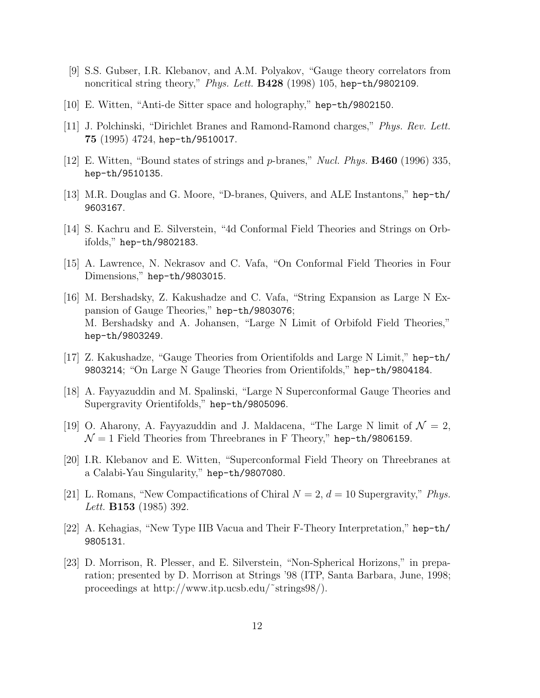- [9] S.S. Gubser, I.R. Klebanov, and A.M. Polyakov, "Gauge theory correlators from noncritical string theory," Phys. Lett. B428 (1998) 105, hep-th/9802109.
- [10] E. Witten, "Anti-de Sitter space and holography," hep-th/9802150.
- [11] J. Polchinski, "Dirichlet Branes and Ramond-Ramond charges," Phys. Rev. Lett. 75 (1995) 4724, hep-th/9510017.
- [12] E. Witten, "Bound states of strings and p-branes," Nucl. Phys. B460 (1996) 335, hep-th/9510135.
- [13] M.R. Douglas and G. Moore, "D-branes, Quivers, and ALE Instantons," hep-th/ 9603167.
- [14] S. Kachru and E. Silverstein, "4d Conformal Field Theories and Strings on Orbifolds," hep-th/9802183.
- [15] A. Lawrence, N. Nekrasov and C. Vafa, "On Conformal Field Theories in Four Dimensions," hep-th/9803015.
- [16] M. Bershadsky, Z. Kakushadze and C. Vafa, "String Expansion as Large N Expansion of Gauge Theories," hep-th/9803076; M. Bershadsky and A. Johansen, "Large N Limit of Orbifold Field Theories," hep-th/9803249.
- [17] Z. Kakushadze, "Gauge Theories from Orientifolds and Large N Limit," hep-th/ 9803214; "On Large N Gauge Theories from Orientifolds," hep-th/9804184.
- [18] A. Fayyazuddin and M. Spalinski, "Large N Superconformal Gauge Theories and Supergravity Orientifolds," hep-th/9805096.
- [19] O. Aharony, A. Fayyazuddin and J. Maldacena, "The Large N limit of  $\mathcal{N} = 2$ ,  $\mathcal{N} = 1$  Field Theories from Threebranes in F Theory," hep-th/9806159.
- [20] I.R. Klebanov and E. Witten, "Superconformal Field Theory on Threebranes at a Calabi-Yau Singularity," hep-th/9807080.
- [21] L. Romans, "New Compactifications of Chiral  $N = 2$ ,  $d = 10$  Supergravity," *Phys.* Lett. **B153** (1985) 392.
- [22] A. Kehagias, "New Type IIB Vacua and Their F-Theory Interpretation," hep-th/ 9805131.
- [23] D. Morrison, R. Plesser, and E. Silverstein, "Non-Spherical Horizons," in preparation; presented by D. Morrison at Strings '98 (ITP, Santa Barbara, June, 1998; proceedings at http://www.itp.ucsb.edu/˜strings98/).